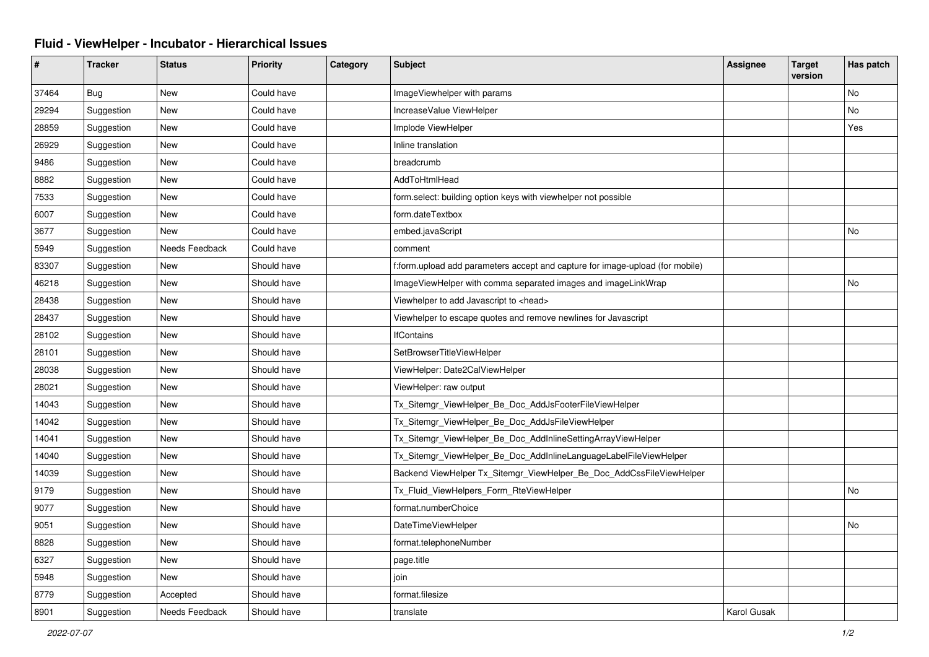## **Fluid - ViewHelper - Incubator - Hierarchical Issues**

| ∦     | <b>Tracker</b> | <b>Status</b>  | <b>Priority</b> | Category | <b>Subject</b>                                                                | <b>Assignee</b>    | <b>Target</b><br>version | Has patch |
|-------|----------------|----------------|-----------------|----------|-------------------------------------------------------------------------------|--------------------|--------------------------|-----------|
| 37464 | Bug            | <b>New</b>     | Could have      |          | ImageViewhelper with params                                                   |                    |                          | No        |
| 29294 | Suggestion     | New            | Could have      |          | IncreaseValue ViewHelper                                                      |                    |                          | No        |
| 28859 | Suggestion     | <b>New</b>     | Could have      |          | Implode ViewHelper                                                            |                    |                          | Yes       |
| 26929 | Suggestion     | New            | Could have      |          | Inline translation                                                            |                    |                          |           |
| 9486  | Suggestion     | New            | Could have      |          | breadcrumb                                                                    |                    |                          |           |
| 8882  | Suggestion     | New            | Could have      |          | AddToHtmlHead                                                                 |                    |                          |           |
| 7533  | Suggestion     | <b>New</b>     | Could have      |          | form.select: building option keys with viewhelper not possible                |                    |                          |           |
| 6007  | Suggestion     | New            | Could have      |          | form.dateTextbox                                                              |                    |                          |           |
| 3677  | Suggestion     | New            | Could have      |          | embed.javaScript                                                              |                    |                          | No        |
| 5949  | Suggestion     | Needs Feedback | Could have      |          | comment                                                                       |                    |                          |           |
| 83307 | Suggestion     | <b>New</b>     | Should have     |          | f:form.upload add parameters accept and capture for image-upload (for mobile) |                    |                          |           |
| 46218 | Suggestion     | New            | Should have     |          | ImageViewHelper with comma separated images and imageLinkWrap                 |                    |                          | No        |
| 28438 | Suggestion     | <b>New</b>     | Should have     |          | Viewhelper to add Javascript to <head></head>                                 |                    |                          |           |
| 28437 | Suggestion     | <b>New</b>     | Should have     |          | Viewhelper to escape quotes and remove newlines for Javascript                |                    |                          |           |
| 28102 | Suggestion     | New            | Should have     |          | <b>IfContains</b>                                                             |                    |                          |           |
| 28101 | Suggestion     | New            | Should have     |          | SetBrowserTitleViewHelper                                                     |                    |                          |           |
| 28038 | Suggestion     | <b>New</b>     | Should have     |          | ViewHelper: Date2CalViewHelper                                                |                    |                          |           |
| 28021 | Suggestion     | <b>New</b>     | Should have     |          | ViewHelper: raw output                                                        |                    |                          |           |
| 14043 | Suggestion     | New            | Should have     |          | Tx_Sitemgr_ViewHelper_Be_Doc_AddJsFooterFileViewHelper                        |                    |                          |           |
| 14042 | Suggestion     | New            | Should have     |          | Tx_Sitemgr_ViewHelper_Be_Doc_AddJsFileViewHelper                              |                    |                          |           |
| 14041 | Suggestion     | <b>New</b>     | Should have     |          | Tx_Sitemgr_ViewHelper_Be_Doc_AddInlineSettingArrayViewHelper                  |                    |                          |           |
| 14040 | Suggestion     | New            | Should have     |          | Tx_Sitemgr_ViewHelper_Be_Doc_AddInlineLanguageLabelFileViewHelper             |                    |                          |           |
| 14039 | Suggestion     | <b>New</b>     | Should have     |          | Backend ViewHelper Tx_Sitemgr_ViewHelper_Be_Doc_AddCssFileViewHelper          |                    |                          |           |
| 9179  | Suggestion     | New            | Should have     |          | Tx Fluid ViewHelpers Form RteViewHelper                                       |                    |                          | No        |
| 9077  | Suggestion     | New            | Should have     |          | format.numberChoice                                                           |                    |                          |           |
| 9051  | Suggestion     | New            | Should have     |          | DateTimeViewHelper                                                            |                    |                          | No        |
| 8828  | Suggestion     | <b>New</b>     | Should have     |          | format.telephoneNumber                                                        |                    |                          |           |
| 6327  | Suggestion     | New            | Should have     |          | page.title                                                                    |                    |                          |           |
| 5948  | Suggestion     | New            | Should have     |          | join                                                                          |                    |                          |           |
| 8779  | Suggestion     | Accepted       | Should have     |          | format.filesize                                                               |                    |                          |           |
| 8901  | Suggestion     | Needs Feedback | Should have     |          | translate                                                                     | <b>Karol Gusak</b> |                          |           |